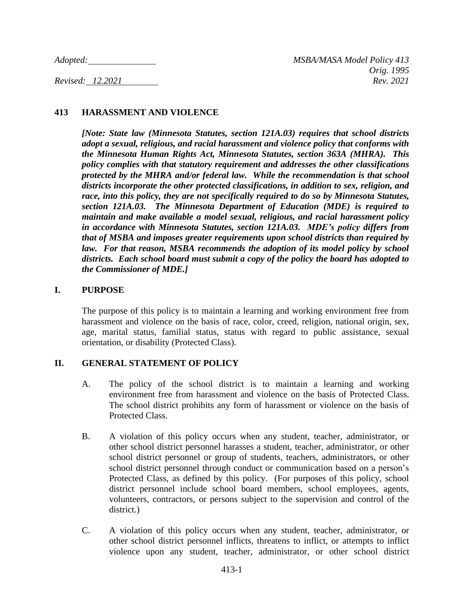# **413 HARASSMENT AND VIOLENCE**

*[Note: State law (Minnesota Statutes, section 121A.03) requires that school districts adopt a sexual, religious, and racial harassment and violence policy that conforms with the Minnesota Human Rights Act, Minnesota Statutes, section 363A (MHRA). This policy complies with that statutory requirement and addresses the other classifications protected by the MHRA and/or federal law. While the recommendation is that school districts incorporate the other protected classifications, in addition to sex, religion, and race, into this policy, they are not specifically required to do so by Minnesota Statutes, section 121A.03. The Minnesota Department of Education (MDE) is required to maintain and make available a model sexual, religious, and racial harassment policy in accordance with Minnesota Statutes, section 121A.03. MDE's policy differs from that of MSBA and imposes greater requirements upon school districts than required by*  law. For that reason, MSBA recommends the adoption of its model policy by school *districts. Each school board must submit a copy of the policy the board has adopted to the Commissioner of MDE.]*

### **I. PURPOSE**

The purpose of this policy is to maintain a learning and working environment free from harassment and violence on the basis of race, color, creed, religion, national origin, sex, age, marital status, familial status, status with regard to public assistance, sexual orientation, or disability (Protected Class).

# **II. GENERAL STATEMENT OF POLICY**

- A. The policy of the school district is to maintain a learning and working environment free from harassment and violence on the basis of Protected Class. The school district prohibits any form of harassment or violence on the basis of Protected Class.
- B. A violation of this policy occurs when any student, teacher, administrator, or other school district personnel harasses a student, teacher, administrator, or other school district personnel or group of students, teachers, administrators, or other school district personnel through conduct or communication based on a person's Protected Class, as defined by this policy. (For purposes of this policy, school district personnel include school board members, school employees, agents, volunteers, contractors, or persons subject to the supervision and control of the district.)
- C. A violation of this policy occurs when any student, teacher, administrator, or other school district personnel inflicts, threatens to inflict, or attempts to inflict violence upon any student, teacher, administrator, or other school district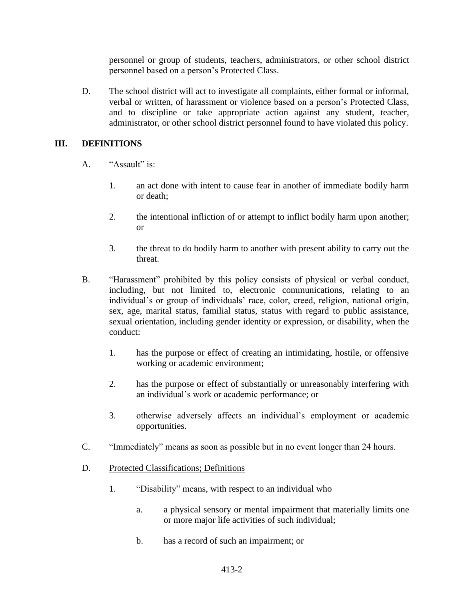personnel or group of students, teachers, administrators, or other school district personnel based on a person's Protected Class.

D. The school district will act to investigate all complaints, either formal or informal, verbal or written, of harassment or violence based on a person's Protected Class, and to discipline or take appropriate action against any student, teacher, administrator, or other school district personnel found to have violated this policy.

### **III. DEFINITIONS**

- A. "Assault" is:
	- 1. an act done with intent to cause fear in another of immediate bodily harm or death;
	- 2. the intentional infliction of or attempt to inflict bodily harm upon another; or
	- 3. the threat to do bodily harm to another with present ability to carry out the threat.
- B. "Harassment" prohibited by this policy consists of physical or verbal conduct, including, but not limited to, electronic communications, relating to an individual's or group of individuals' race, color, creed, religion, national origin, sex, age, marital status, familial status, status with regard to public assistance, sexual orientation, including gender identity or expression, or disability, when the conduct:
	- 1. has the purpose or effect of creating an intimidating, hostile, or offensive working or academic environment;
	- 2. has the purpose or effect of substantially or unreasonably interfering with an individual's work or academic performance; or
	- 3. otherwise adversely affects an individual's employment or academic opportunities.
- C. "Immediately" means as soon as possible but in no event longer than 24 hours.
- D. Protected Classifications; Definitions
	- 1. "Disability" means, with respect to an individual who
		- a. a physical sensory or mental impairment that materially limits one or more major life activities of such individual;
		- b. has a record of such an impairment; or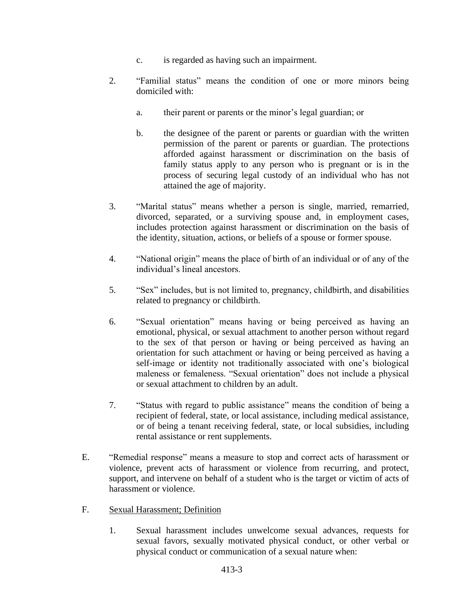- c. is regarded as having such an impairment.
- 2. "Familial status" means the condition of one or more minors being domiciled with:
	- a. their parent or parents or the minor's legal guardian; or
	- b. the designee of the parent or parents or guardian with the written permission of the parent or parents or guardian. The protections afforded against harassment or discrimination on the basis of family status apply to any person who is pregnant or is in the process of securing legal custody of an individual who has not attained the age of majority.
- 3. "Marital status" means whether a person is single, married, remarried, divorced, separated, or a surviving spouse and, in employment cases, includes protection against harassment or discrimination on the basis of the identity, situation, actions, or beliefs of a spouse or former spouse.
- 4. "National origin" means the place of birth of an individual or of any of the individual's lineal ancestors.
- 5. "Sex" includes, but is not limited to, pregnancy, childbirth, and disabilities related to pregnancy or childbirth.
- 6. "Sexual orientation" means having or being perceived as having an emotional, physical, or sexual attachment to another person without regard to the sex of that person or having or being perceived as having an orientation for such attachment or having or being perceived as having a self-image or identity not traditionally associated with one's biological maleness or femaleness. "Sexual orientation" does not include a physical or sexual attachment to children by an adult.
- 7. "Status with regard to public assistance" means the condition of being a recipient of federal, state, or local assistance, including medical assistance, or of being a tenant receiving federal, state, or local subsidies, including rental assistance or rent supplements.
- E. "Remedial response" means a measure to stop and correct acts of harassment or violence, prevent acts of harassment or violence from recurring, and protect, support, and intervene on behalf of a student who is the target or victim of acts of harassment or violence.
- F. Sexual Harassment; Definition
	- 1. Sexual harassment includes unwelcome sexual advances, requests for sexual favors, sexually motivated physical conduct, or other verbal or physical conduct or communication of a sexual nature when: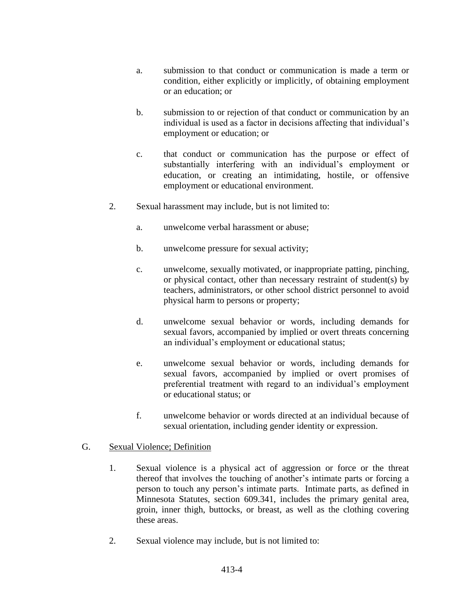- a. submission to that conduct or communication is made a term or condition, either explicitly or implicitly, of obtaining employment or an education; or
- b. submission to or rejection of that conduct or communication by an individual is used as a factor in decisions affecting that individual's employment or education; or
- c. that conduct or communication has the purpose or effect of substantially interfering with an individual's employment or education, or creating an intimidating, hostile, or offensive employment or educational environment.
- 2. Sexual harassment may include, but is not limited to:
	- a. unwelcome verbal harassment or abuse;
	- b. unwelcome pressure for sexual activity;
	- c. unwelcome, sexually motivated, or inappropriate patting, pinching, or physical contact, other than necessary restraint of student(s) by teachers, administrators, or other school district personnel to avoid physical harm to persons or property;
	- d. unwelcome sexual behavior or words, including demands for sexual favors, accompanied by implied or overt threats concerning an individual's employment or educational status;
	- e. unwelcome sexual behavior or words, including demands for sexual favors, accompanied by implied or overt promises of preferential treatment with regard to an individual's employment or educational status; or
	- f. unwelcome behavior or words directed at an individual because of sexual orientation, including gender identity or expression.

#### G. Sexual Violence; Definition

- 1. Sexual violence is a physical act of aggression or force or the threat thereof that involves the touching of another's intimate parts or forcing a person to touch any person's intimate parts. Intimate parts, as defined in Minnesota Statutes, section 609.341, includes the primary genital area, groin, inner thigh, buttocks, or breast, as well as the clothing covering these areas.
- 2. Sexual violence may include, but is not limited to: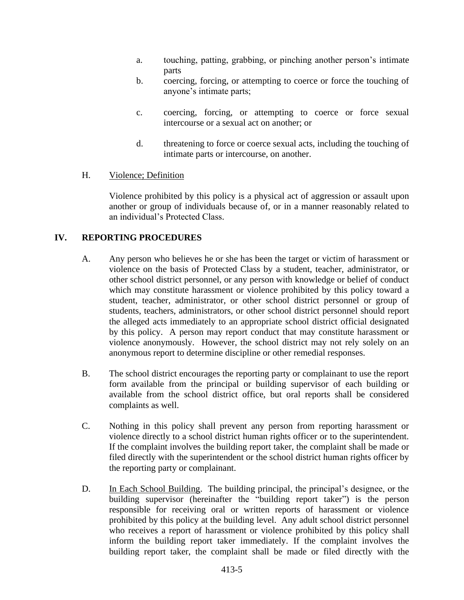- a. touching, patting, grabbing, or pinching another person's intimate parts
- b. coercing, forcing, or attempting to coerce or force the touching of anyone's intimate parts;
- c. coercing, forcing, or attempting to coerce or force sexual intercourse or a sexual act on another; or
- d. threatening to force or coerce sexual acts, including the touching of intimate parts or intercourse, on another.

### H. Violence; Definition

Violence prohibited by this policy is a physical act of aggression or assault upon another or group of individuals because of, or in a manner reasonably related to an individual's Protected Class.

# **IV. REPORTING PROCEDURES**

- A. Any person who believes he or she has been the target or victim of harassment or violence on the basis of Protected Class by a student, teacher, administrator, or other school district personnel, or any person with knowledge or belief of conduct which may constitute harassment or violence prohibited by this policy toward a student, teacher, administrator, or other school district personnel or group of students, teachers, administrators, or other school district personnel should report the alleged acts immediately to an appropriate school district official designated by this policy. A person may report conduct that may constitute harassment or violence anonymously. However, the school district may not rely solely on an anonymous report to determine discipline or other remedial responses.
- B. The school district encourages the reporting party or complainant to use the report form available from the principal or building supervisor of each building or available from the school district office, but oral reports shall be considered complaints as well.
- C. Nothing in this policy shall prevent any person from reporting harassment or violence directly to a school district human rights officer or to the superintendent. If the complaint involves the building report taker, the complaint shall be made or filed directly with the superintendent or the school district human rights officer by the reporting party or complainant.
- D. In Each School Building. The building principal, the principal's designee, or the building supervisor (hereinafter the "building report taker") is the person responsible for receiving oral or written reports of harassment or violence prohibited by this policy at the building level. Any adult school district personnel who receives a report of harassment or violence prohibited by this policy shall inform the building report taker immediately. If the complaint involves the building report taker, the complaint shall be made or filed directly with the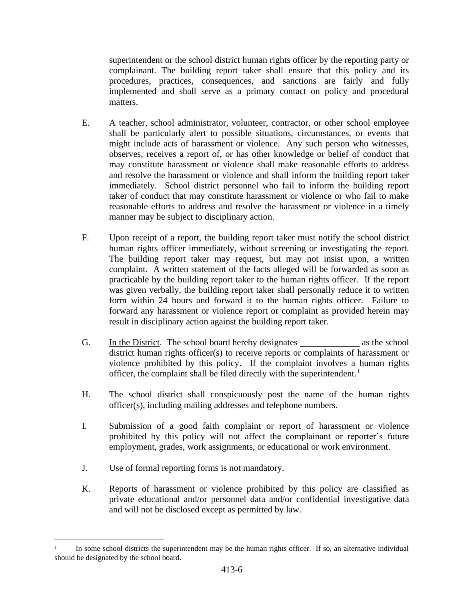superintendent or the school district human rights officer by the reporting party or complainant. The building report taker shall ensure that this policy and its procedures, practices, consequences, and sanctions are fairly and fully implemented and shall serve as a primary contact on policy and procedural matters.

- E. A teacher, school administrator, volunteer, contractor, or other school employee shall be particularly alert to possible situations, circumstances, or events that might include acts of harassment or violence. Any such person who witnesses, observes, receives a report of, or has other knowledge or belief of conduct that may constitute harassment or violence shall make reasonable efforts to address and resolve the harassment or violence and shall inform the building report taker immediately. School district personnel who fail to inform the building report taker of conduct that may constitute harassment or violence or who fail to make reasonable efforts to address and resolve the harassment or violence in a timely manner may be subject to disciplinary action.
- F. Upon receipt of a report, the building report taker must notify the school district human rights officer immediately, without screening or investigating the report. The building report taker may request, but may not insist upon, a written complaint. A written statement of the facts alleged will be forwarded as soon as practicable by the building report taker to the human rights officer. If the report was given verbally, the building report taker shall personally reduce it to written form within 24 hours and forward it to the human rights officer. Failure to forward any harassment or violence report or complaint as provided herein may result in disciplinary action against the building report taker.
- G. In the District. The school board hereby designates as the school district human rights officer(s) to receive reports or complaints of harassment or violence prohibited by this policy. If the complaint involves a human rights officer, the complaint shall be filed directly with the superintendent.<sup>1</sup>
- H. The school district shall conspicuously post the name of the human rights officer(s), including mailing addresses and telephone numbers.
- I. Submission of a good faith complaint or report of harassment or violence prohibited by this policy will not affect the complainant or reporter's future employment, grades, work assignments, or educational or work environment.
- J. Use of formal reporting forms is not mandatory.
- K. Reports of harassment or violence prohibited by this policy are classified as private educational and/or personnel data and/or confidential investigative data and will not be disclosed except as permitted by law.

<sup>1</sup> In some school districts the superintendent may be the human rights officer. If so, an alternative individual should be designated by the school board.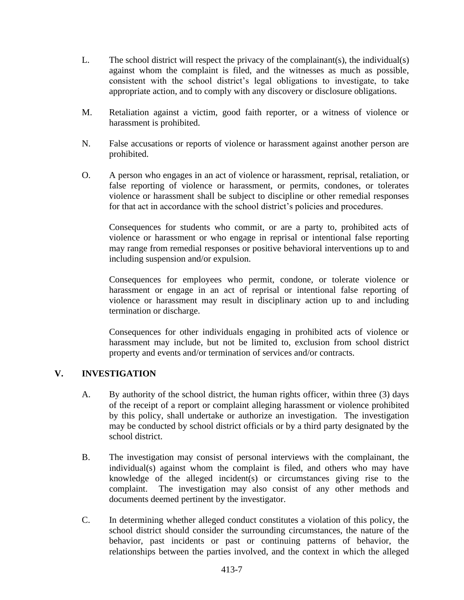- L. The school district will respect the privacy of the complainant(s), the individual(s) against whom the complaint is filed, and the witnesses as much as possible, consistent with the school district's legal obligations to investigate, to take appropriate action, and to comply with any discovery or disclosure obligations.
- M. Retaliation against a victim, good faith reporter, or a witness of violence or harassment is prohibited.
- N. False accusations or reports of violence or harassment against another person are prohibited.
- O. A person who engages in an act of violence or harassment, reprisal, retaliation, or false reporting of violence or harassment, or permits, condones, or tolerates violence or harassment shall be subject to discipline or other remedial responses for that act in accordance with the school district's policies and procedures.

Consequences for students who commit, or are a party to, prohibited acts of violence or harassment or who engage in reprisal or intentional false reporting may range from remedial responses or positive behavioral interventions up to and including suspension and/or expulsion.

Consequences for employees who permit, condone, or tolerate violence or harassment or engage in an act of reprisal or intentional false reporting of violence or harassment may result in disciplinary action up to and including termination or discharge.

Consequences for other individuals engaging in prohibited acts of violence or harassment may include, but not be limited to, exclusion from school district property and events and/or termination of services and/or contracts.

# **V. INVESTIGATION**

- A. By authority of the school district, the human rights officer, within three (3) days of the receipt of a report or complaint alleging harassment or violence prohibited by this policy, shall undertake or authorize an investigation. The investigation may be conducted by school district officials or by a third party designated by the school district.
- B. The investigation may consist of personal interviews with the complainant, the individual(s) against whom the complaint is filed, and others who may have knowledge of the alleged incident(s) or circumstances giving rise to the complaint. The investigation may also consist of any other methods and documents deemed pertinent by the investigator.
- C. In determining whether alleged conduct constitutes a violation of this policy, the school district should consider the surrounding circumstances, the nature of the behavior, past incidents or past or continuing patterns of behavior, the relationships between the parties involved, and the context in which the alleged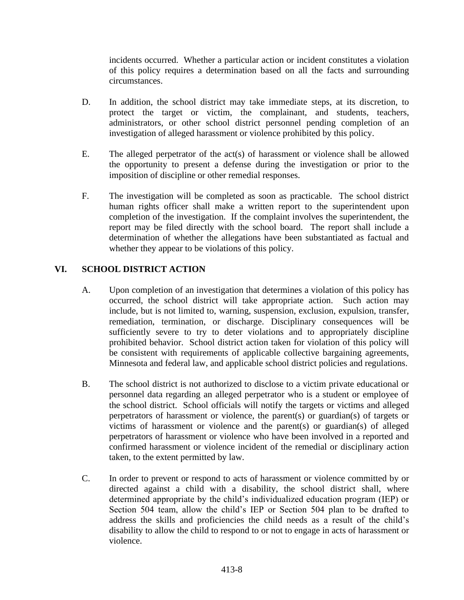incidents occurred. Whether a particular action or incident constitutes a violation of this policy requires a determination based on all the facts and surrounding circumstances.

- D. In addition, the school district may take immediate steps, at its discretion, to protect the target or victim, the complainant, and students, teachers, administrators, or other school district personnel pending completion of an investigation of alleged harassment or violence prohibited by this policy.
- E. The alleged perpetrator of the act(s) of harassment or violence shall be allowed the opportunity to present a defense during the investigation or prior to the imposition of discipline or other remedial responses.
- F. The investigation will be completed as soon as practicable. The school district human rights officer shall make a written report to the superintendent upon completion of the investigation. If the complaint involves the superintendent, the report may be filed directly with the school board. The report shall include a determination of whether the allegations have been substantiated as factual and whether they appear to be violations of this policy.

# **VI. SCHOOL DISTRICT ACTION**

- A. Upon completion of an investigation that determines a violation of this policy has occurred, the school district will take appropriate action. Such action may include, but is not limited to, warning, suspension, exclusion, expulsion, transfer, remediation, termination, or discharge. Disciplinary consequences will be sufficiently severe to try to deter violations and to appropriately discipline prohibited behavior. School district action taken for violation of this policy will be consistent with requirements of applicable collective bargaining agreements, Minnesota and federal law, and applicable school district policies and regulations.
- B. The school district is not authorized to disclose to a victim private educational or personnel data regarding an alleged perpetrator who is a student or employee of the school district. School officials will notify the targets or victims and alleged perpetrators of harassment or violence, the parent(s) or guardian(s) of targets or victims of harassment or violence and the parent(s) or guardian(s) of alleged perpetrators of harassment or violence who have been involved in a reported and confirmed harassment or violence incident of the remedial or disciplinary action taken, to the extent permitted by law.
- C. In order to prevent or respond to acts of harassment or violence committed by or directed against a child with a disability, the school district shall, where determined appropriate by the child's individualized education program (IEP) or Section 504 team, allow the child's IEP or Section 504 plan to be drafted to address the skills and proficiencies the child needs as a result of the child's disability to allow the child to respond to or not to engage in acts of harassment or violence.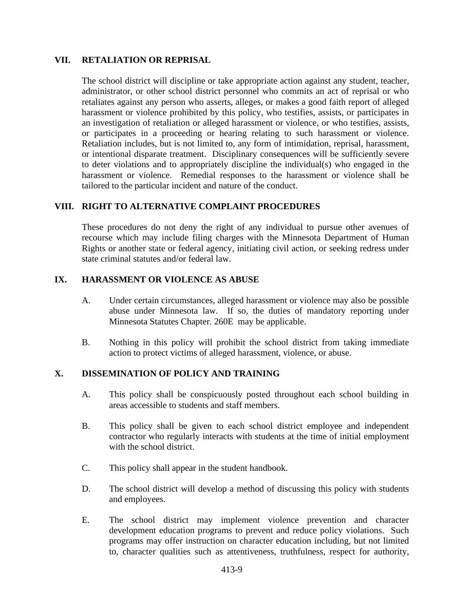#### **VII. RETALIATION OR REPRISAL**

The school district will discipline or take appropriate action against any student, teacher, administrator, or other school district personnel who commits an act of reprisal or who retaliates against any person who asserts, alleges, or makes a good faith report of alleged harassment or violence prohibited by this policy, who testifies, assists, or participates in an investigation of retaliation or alleged harassment or violence, or who testifies, assists, or participates in a proceeding or hearing relating to such harassment or violence. Retaliation includes, but is not limited to, any form of intimidation, reprisal, harassment, or intentional disparate treatment. Disciplinary consequences will be sufficiently severe to deter violations and to appropriately discipline the individual(s) who engaged in the harassment or violence. Remedial responses to the harassment or violence shall be tailored to the particular incident and nature of the conduct.

# **VIII. RIGHT TO ALTERNATIVE COMPLAINT PROCEDURES**

These procedures do not deny the right of any individual to pursue other avenues of recourse which may include filing charges with the Minnesota Department of Human Rights or another state or federal agency, initiating civil action, or seeking redress under state criminal statutes and/or federal law.

#### **IX. HARASSMENT OR VIOLENCE AS ABUSE**

- A. Under certain circumstances, alleged harassment or violence may also be possible abuse under Minnesota law. If so, the duties of mandatory reporting under Minnesota Statutes Chapter. 260E may be applicable.
- B. Nothing in this policy will prohibit the school district from taking immediate action to protect victims of alleged harassment, violence, or abuse.

#### **X. DISSEMINATION OF POLICY AND TRAINING**

- A. This policy shall be conspicuously posted throughout each school building in areas accessible to students and staff members.
- B. This policy shall be given to each school district employee and independent contractor who regularly interacts with students at the time of initial employment with the school district.
- C. This policy shall appear in the student handbook.
- D. The school district will develop a method of discussing this policy with students and employees.
- E. The school district may implement violence prevention and character development education programs to prevent and reduce policy violations. Such programs may offer instruction on character education including, but not limited to, character qualities such as attentiveness, truthfulness, respect for authority,